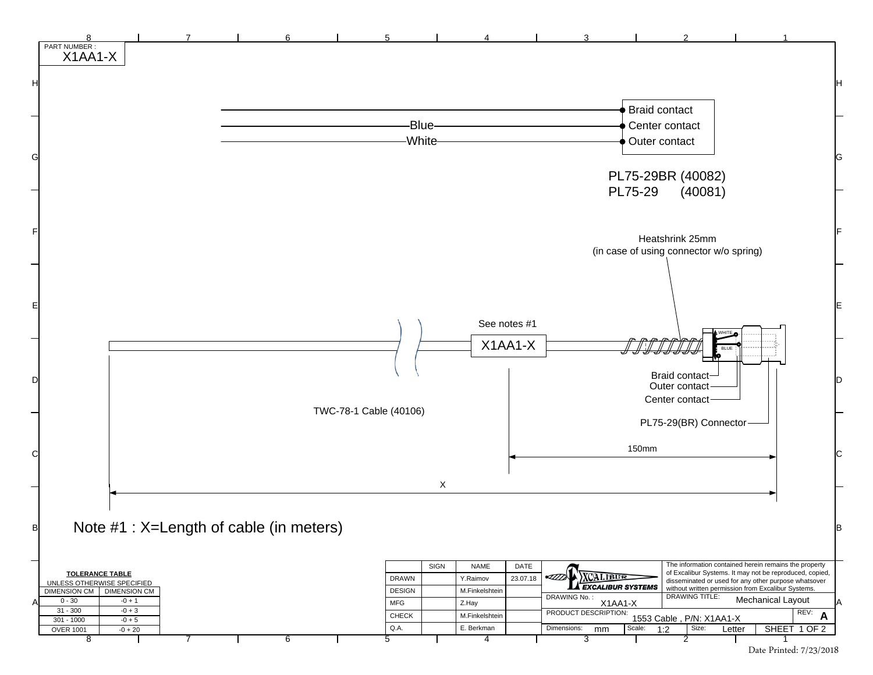